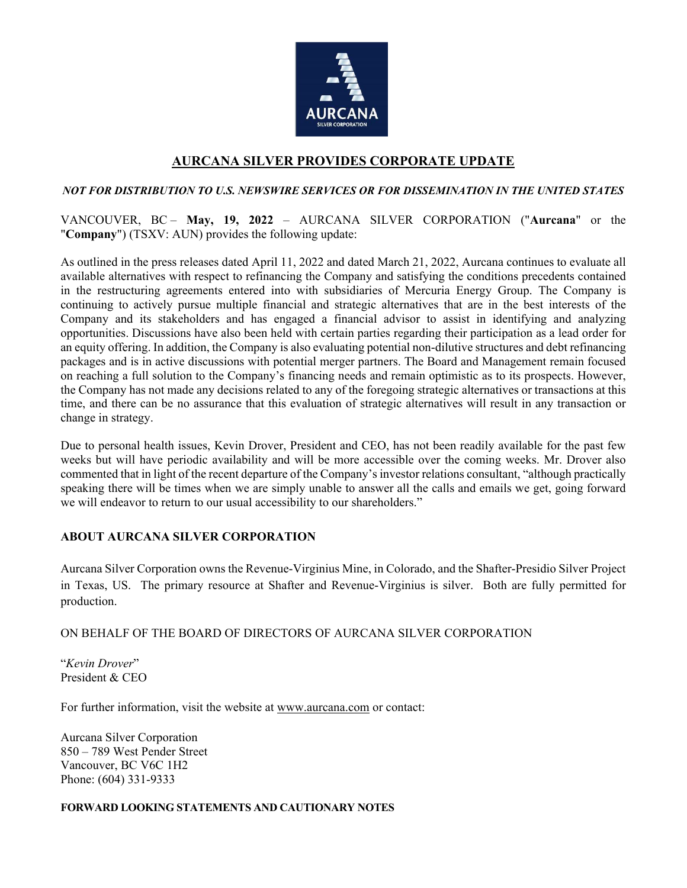

# **AURCANA SILVER PROVIDES CORPORATE UPDATE**

### *NOT FOR DISTRIBUTION TO U.S. NEWSWIRE SERVICES OR FOR DISSEMINATION IN THE UNITED STATES*

### VANCOUVER, BC – **May, 19, 2022** – AURCANA SILVER CORPORATION ("**Aurcana**" or the "**Company**") (TSXV: AUN) provides the following update:

As outlined in the press releases dated April 11, 2022 and dated March 21, 2022, Aurcana continues to evaluate all available alternatives with respect to refinancing the Company and satisfying the conditions precedents contained in the restructuring agreements entered into with subsidiaries of Mercuria Energy Group. The Company is continuing to actively pursue multiple financial and strategic alternatives that are in the best interests of the Company and its stakeholders and has engaged a financial advisor to assist in identifying and analyzing opportunities. Discussions have also been held with certain parties regarding their participation as a lead order for an equity offering. In addition, the Company is also evaluating potential non-dilutive structures and debt refinancing packages and is in active discussions with potential merger partners. The Board and Management remain focused on reaching a full solution to the Company's financing needs and remain optimistic as to its prospects. However, the Company has not made any decisions related to any of the foregoing strategic alternatives or transactions at this time, and there can be no assurance that this evaluation of strategic alternatives will result in any transaction or change in strategy.

Due to personal health issues, Kevin Drover, President and CEO, has not been readily available for the past few weeks but will have periodic availability and will be more accessible over the coming weeks. Mr. Drover also commented that in light of the recent departure of the Company's investor relations consultant, "although practically speaking there will be times when we are simply unable to answer all the calls and emails we get, going forward we will endeavor to return to our usual accessibility to our shareholders."

## **ABOUT AURCANA SILVER CORPORATION**

Aurcana Silver Corporation owns the Revenue-Virginius Mine, in Colorado, and the Shafter-Presidio Silver Project in Texas, US. The primary resource at Shafter and Revenue-Virginius is silver. Both are fully permitted for production.

### ON BEHALF OF THE BOARD OF DIRECTORS OF AURCANA SILVER CORPORATION

"*Kevin Drover*" President & CEO

For further information, visit the website at [www.aurcana.com](http://www.aurcana.com/) or contact:

Aurcana Silver Corporation 850 – 789 West Pender Street Vancouver, BC V6C 1H2 Phone: (604) 331-9333

### **FORWARD LOOKING STATEMENTS AND CAUTIONARY NOTES**